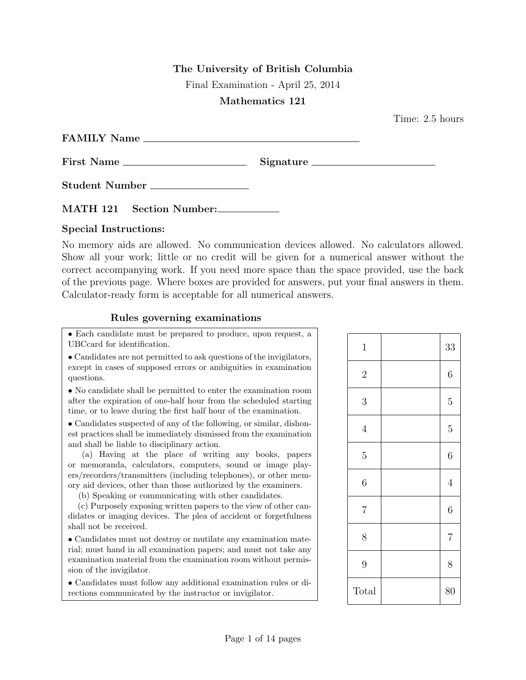## The University of British Columbia

Final Examination - April 25, 2014

## Mathematics 121

Time: 2.5 hours

| <b>FAMILY Name</b> |  |
|--------------------|--|
| <b>First Name</b>  |  |

Student Number

MATH 121 Section Number:

## Special Instructions:

No memory aids are allowed. No communication devices allowed. No calculators allowed. Show all your work; little or no credit will be given for a numerical answer without the correct accompanying work. If you need more space than the space provided, use the back of the previous page. Where boxes are provided for answers, put your final answers in them. Calculator-ready form is acceptable for all numerical answers.

## Rules governing examinations

• Each candidate must be prepared to produce, upon request, a UBCcard for identification.

• Candidates are not permitted to ask questions of the invigilators, except in cases of supposed errors or ambiguities in examination questions.

• No candidate shall be permitted to enter the examination room after the expiration of one-half hour from the scheduled starting time, or to leave during the first half hour of the examination.

• Candidates suspected of any of the following, or similar, dishonest practices shall be immediately dismissed from the examination and shall be liable to disciplinary action.

(a) Having at the place of writing any books, papers or memoranda, calculators, computers, sound or image players/recorders/transmitters (including telephones), or other memory aid devices, other than those authorized by the examiners.

(b) Speaking or communicating with other candidates.

(c) Purposely exposing written papers to the view of other candidates or imaging devices. The plea of accident or forgetfulness shall not be received.

• Candidates must not destroy or mutilate any examination material; must hand in all examination papers; and must not take any examination material from the examination room without permission of the invigilator.

• Candidates must follow any additional examination rules or directions communicated by the instructor or invigilator.

| $\mathbf{1}$   | 33             |
|----------------|----------------|
| $\overline{2}$ | $\overline{6}$ |
| 3              | $\overline{5}$ |
| $\overline{4}$ | $\overline{5}$ |
| $\overline{5}$ | $\sqrt{6}$     |
| 6              | $\overline{4}$ |
| $\overline{7}$ | $\sqrt{6}$     |
| 8              | $\overline{7}$ |
| 9              | 8              |
| Total          | 80             |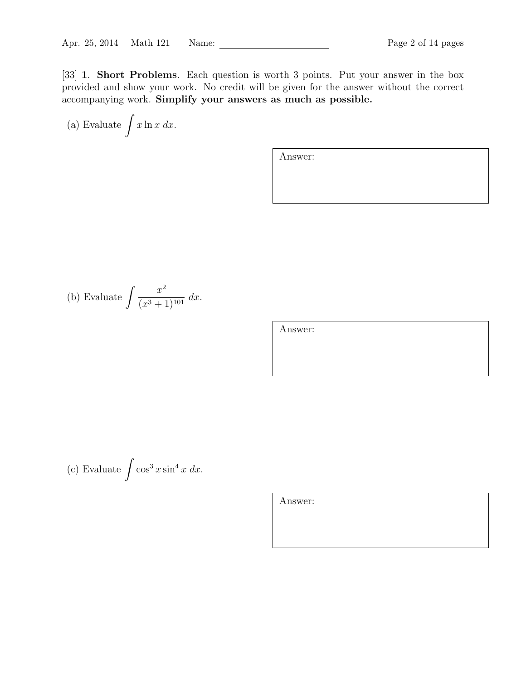[33] 1. Short Problems. Each question is worth 3 points. Put your answer in the box provided and show your work. No credit will be given for the answer without the correct accompanying work. Simplify your answers as much as possible.

(a) Evaluate 
$$
\int x \ln x \, dx
$$
.

Answer:

(b) Evaluate 
$$
\int \frac{x^2}{(x^3 + 1)^{101}} dx
$$
.

Answer:

(c) Evaluate  $\int \cos^3 x \sin^4 x \ dx$ .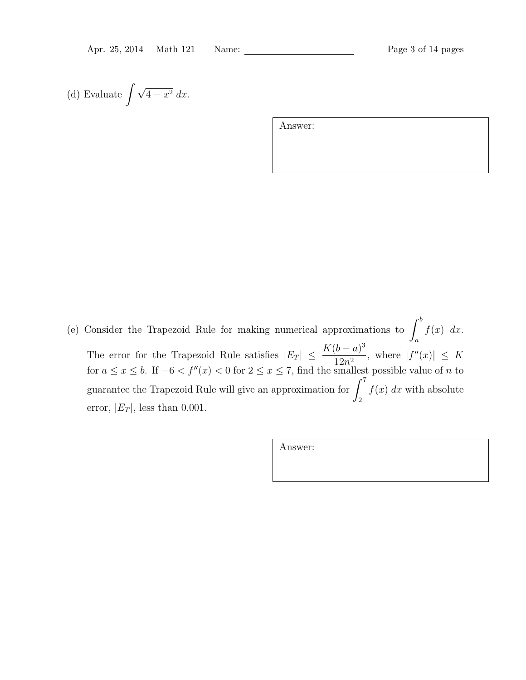(d) Evaluate 
$$
\int \sqrt{4-x^2} \, dx
$$
.

Answer:

(e) Consider the Trapezoid Rule for making numerical approximations to  $\int^{b}$ a  $f(x)$  dx. The error for the Trapezoid Rule satisfies  $|E_T| \leq \frac{K(b-a)^3}{12a^2}$  $12n^2$ , where  $|f''(x)| \leq K$ for  $a \le x \le b$ . If  $-6 < f''(x) < 0$  for  $2 \le x \le 7$ , find the smallest possible value of *n* to guarantee the Trapezoid Rule will give an approximation for  $\int_{}^{7}$ 2  $f(x)$  dx with absolute error,  $|E_T|$ , less than 0.001.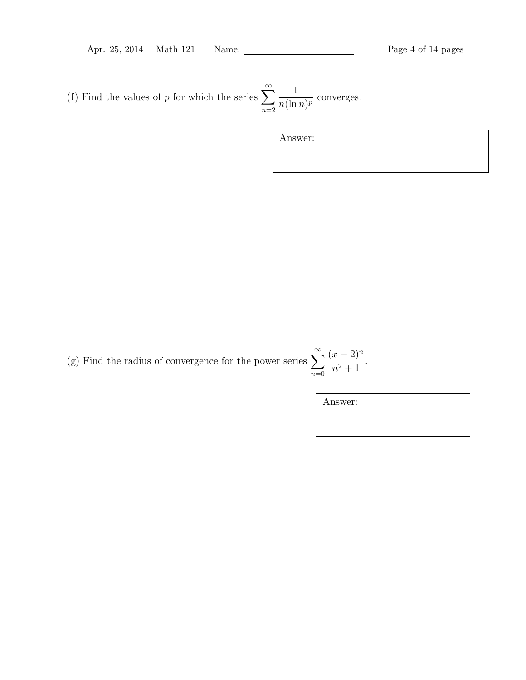Apr. 25, 2014 Math 121 Name: Page 4 of 14 pages

(f) Find the values of p for which the series  $\sum_{n=1}^{\infty}$  $n=2$ 1  $\frac{1}{n(\ln n)^p}$  converges.

Answer:

(g) Find the radius of convergence for the power series  $\sum_{n=1}^{\infty}$  $n=0$  $(x-2)^n$  $\frac{x}{n^2+1}$ .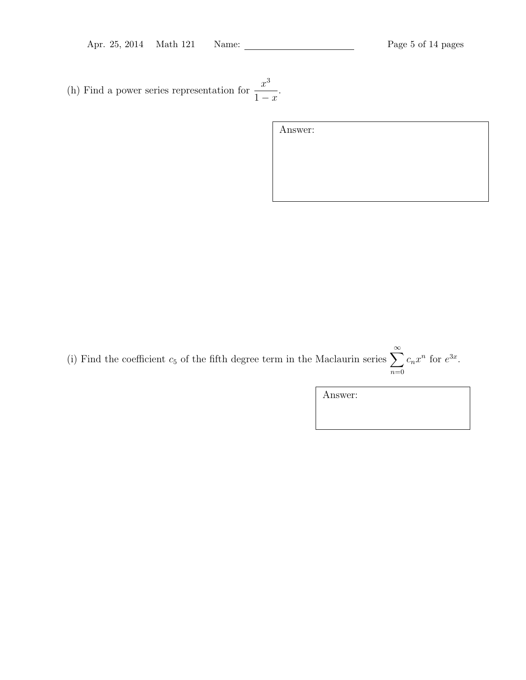(h) Find a power series representation for  $\frac{x^3}{4}$  $1 - x$ .

| Answer: |  |  |  |
|---------|--|--|--|
|         |  |  |  |
|         |  |  |  |
|         |  |  |  |

(i) Find the coefficient  $c_5$  of the fifth degree term in the Maclaurin series  $\sum_{n=1}^{\infty}$  $n=0$  $c_n x^n$  for  $e^{3x}$ .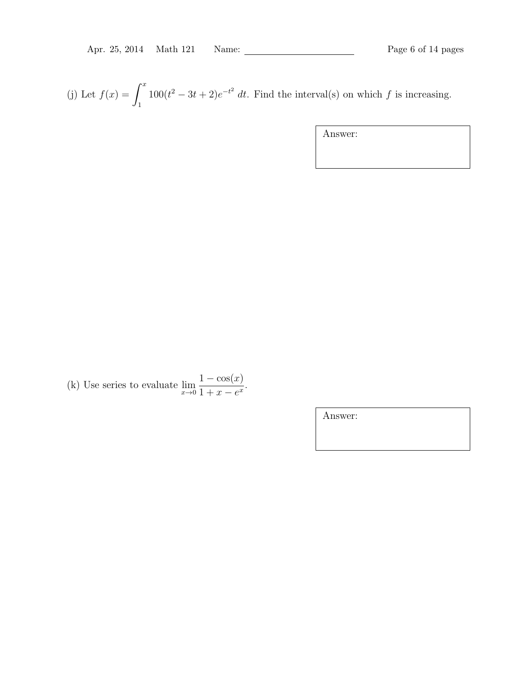(j) Let  $f(x) = \int^x$ 1  $100(t^2 - 3t + 2)e^{-t^2}$  dt. Find the interval(s) on which f is increasing.

Answer:

(k) Use series to evaluate  $\lim_{x\to 0}$  $1 - \cos(x)$  $\frac{1-\cos(x)}{1+x-e^x}.$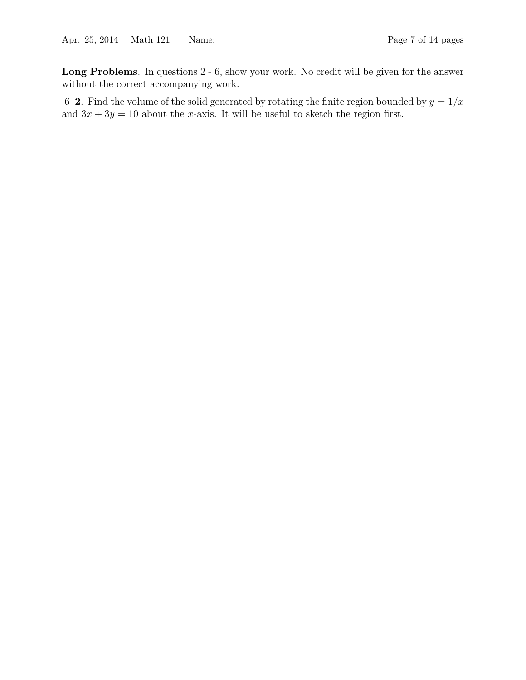Long Problems. In questions 2 - 6, show your work. No credit will be given for the answer without the correct accompanying work.

[6] 2. Find the volume of the solid generated by rotating the finite region bounded by  $y = 1/x$ and  $3x + 3y = 10$  about the x-axis. It will be useful to sketch the region first.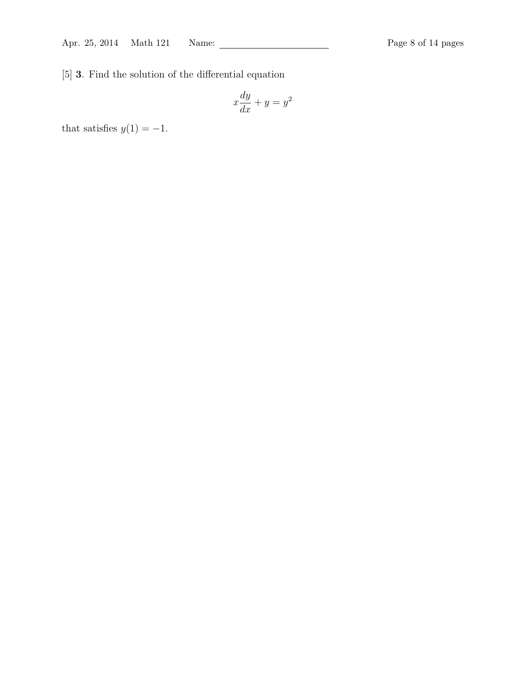[5] 3. Find the solution of the differential equation

$$
x\frac{dy}{dx} + y = y^2
$$

that satisfies  $y(1) = -1$ .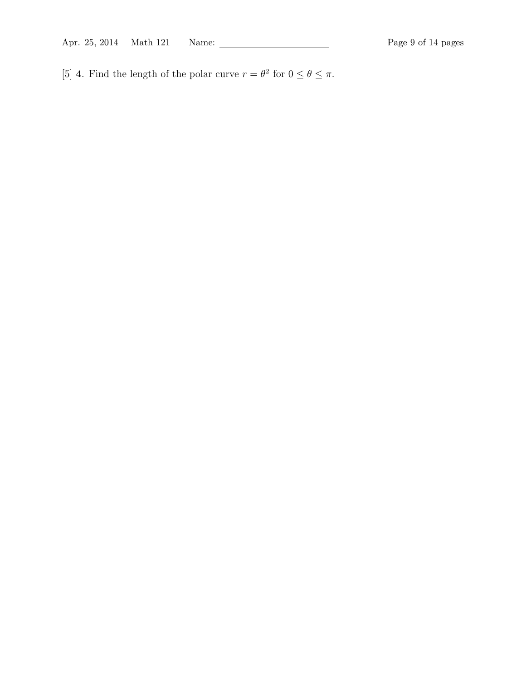[5] **4**. Find the length of the polar curve  $r = \theta^2$  for  $0 \le \theta \le \pi$ .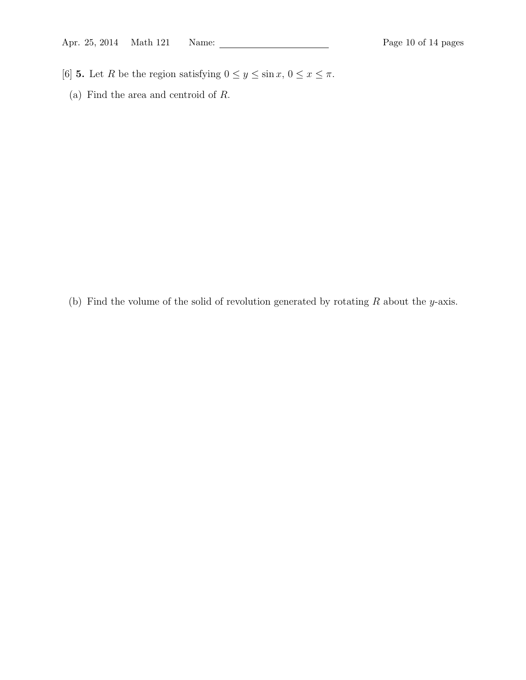- [6] **5.** Let R be the region satisfying  $0 \le y \le \sin x$ ,  $0 \le x \le \pi$ .
	- (a) Find the area and centroid of R.

(b) Find the volume of the solid of revolution generated by rotating  $R$  about the y-axis.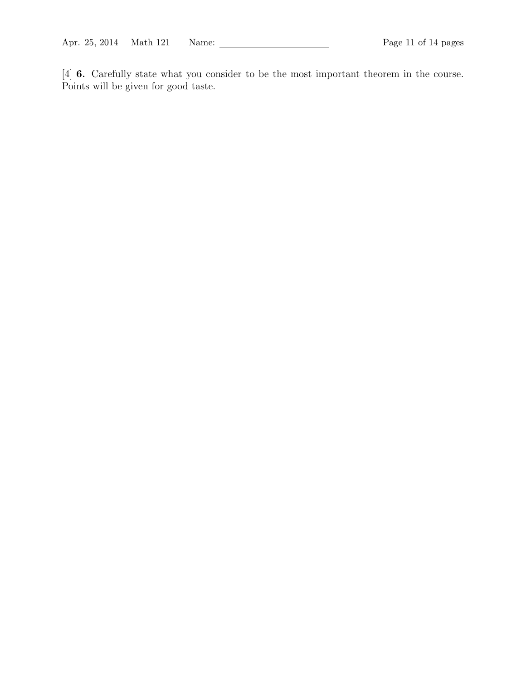[4] 6. Carefully state what you consider to be the most important theorem in the course. Points will be given for good taste.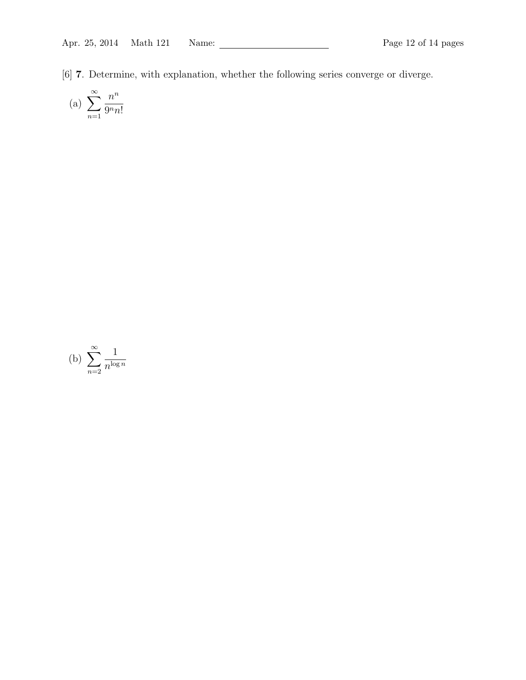[6] 7. Determine, with explanation, whether the following series converge or diverge.

(a) 
$$
\sum_{n=1}^{\infty} \frac{n^n}{9^n n!}
$$

(b) 
$$
\sum_{n=2}^{\infty} \frac{1}{n^{\log n}}
$$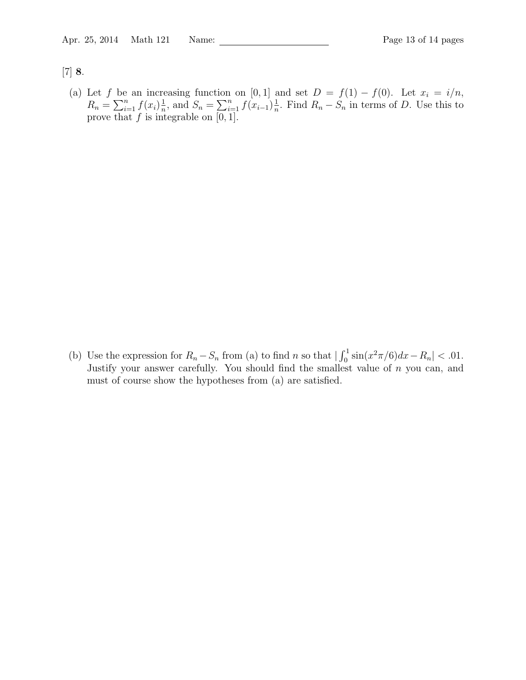[7] 8.

(a) Let f be an increasing function on [0, 1] and set  $D = f(1) - f(0)$ . Let  $x_i = i/n$ ,  $R_n = \sum_{i=1}^n f(x_i) \frac{1}{n}$  $\frac{1}{n}$ , and  $S_n = \sum_{i=1}^n f(x_{i-1}) \frac{1}{n}$  $\frac{1}{n}$ . Find  $R_n - S_n$  in terms of D. Use this to prove that  $f$  is integrable on  $[0, 1]$ .

(b) Use the expression for  $R_n - S_n$  from (a) to find n so that  $\left| \int_0^1 \sin(x^2 \pi/6) dx - R_n \right| < .01$ . Justify your answer carefully. You should find the smallest value of n you can, and must of course show the hypotheses from (a) are satisfied.